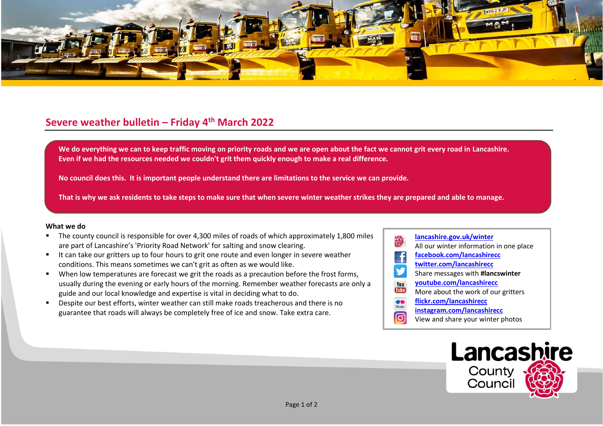

## **Severe weather bulletin – Friday 4 th March 2022**

We do everything we can to keep traffic moving on priority roads and we are open about the fact we cannot grit every road in Lancashire. **Even if we had the resources needed we couldn't grit them quickly enough to make a real difference.**

**No council does this. It is important people understand there are limitations to the service we can provide.**

**That is why we ask residents to take steps to make sure that when severe winter weather strikes they are prepared and able to manage.**

## **What we do**

- The county council is responsible for over 4,300 miles of roads of which approximately 1,800 miles are part of Lancashire's 'Priority Road Network' for salting and snow clearing.
- It can take our gritters up to four hours to grit one route and even longer in severe weather conditions. This means sometimes we can't grit as often as we would like.
- When low temperatures are forecast we grit the roads as a precaution before the frost forms, usually during the evening or early hours of the morning. Remember weather forecasts are only a guide and our local knowledge and expertise is vital in deciding what to do.
- Despite our best efforts, winter weather can still make roads treacherous and there is no guarantee that roads will always be completely free of ice and snow. Take extra care.
- **[lancashire.gov.uk/winter](http://www.lancashire.gov.uk/winter)** All our winter information in one place **[facebook.com/lancashirecc](http://www.facebook.com/lancashirecc) [twitter.com/lancashirecc](http://www.twitter.com/lancashirecc)** y Share messages with **#lancswinter [youtube.com/lancashirecc](http://www.youtube.com/lancashirecc)** You **Tilte** More about the work of our gritters  $\bullet$ **[flickr.com/lancashirecc](http://www.flickr.com/lancashirecc)** flickr **[instagram.com/lancashirecc](http://www.instagram.com/lancashirecc)** ြင View and share your winter photos